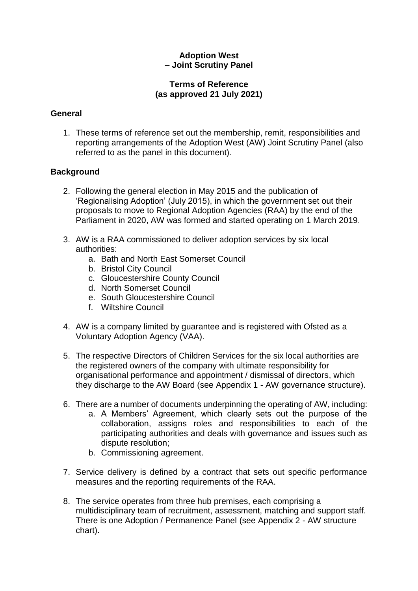# **Adoption West – Joint Scrutiny Panel**

## **Terms of Reference (as approved 21 July 2021)**

# **General**

1. These terms of reference set out the membership, remit, responsibilities and reporting arrangements of the Adoption West (AW) Joint Scrutiny Panel (also referred to as the panel in this document).

# **Background**

- 2. Following the general election in May 2015 and the publication of 'Regionalising Adoption' (July 2015), in which the government set out their proposals to move to Regional Adoption Agencies (RAA) by the end of the Parliament in 2020, AW was formed and started operating on 1 March 2019.
- 3. AW is a RAA commissioned to deliver adoption services by six local authorities:
	- a. Bath and North East Somerset Council
	- b. Bristol City Council
	- c. Gloucestershire County Council
	- d. North Somerset Council
	- e. South Gloucestershire Council
	- f. Wiltshire Council
- 4. AW is a company limited by guarantee and is registered with Ofsted as a Voluntary Adoption Agency (VAA).
- 5. The respective Directors of Children Services for the six local authorities are the registered owners of the company with ultimate responsibility for organisational performance and appointment / dismissal of directors, which they discharge to the AW Board (see Appendix 1 - AW governance structure).
- 6. There are a number of documents underpinning the operating of AW, including:
	- a. A Members' Agreement, which clearly sets out the purpose of the collaboration, assigns roles and responsibilities to each of the participating authorities and deals with governance and issues such as dispute resolution;
	- b. Commissioning agreement.
- 7. Service delivery is defined by a contract that sets out specific performance measures and the reporting requirements of the RAA.
- 8. The service operates from three hub premises, each comprising a multidisciplinary team of recruitment, assessment, matching and support staff. There is one Adoption / Permanence Panel (see Appendix 2 - AW structure chart).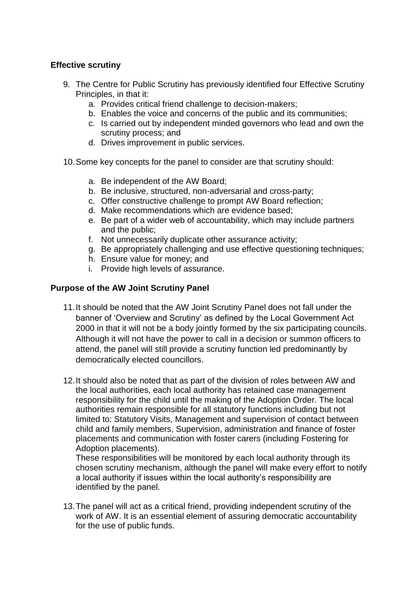# **Effective scrutiny**

- 9. The Centre for Public Scrutiny has previously identified four Effective Scrutiny Principles, in that it:
	- a. Provides critical friend challenge to decision-makers;
	- b. Enables the voice and concerns of the public and its communities;
	- c. Is carried out by independent minded governors who lead and own the scrutiny process; and
	- d. Drives improvement in public services.
- 10.Some key concepts for the panel to consider are that scrutiny should:
	- a. Be independent of the AW Board;
	- b. Be inclusive, structured, non-adversarial and cross-party;
	- c. Offer constructive challenge to prompt AW Board reflection;
	- d. Make recommendations which are evidence based;
	- e. Be part of a wider web of accountability, which may include partners and the public;
	- f. Not unnecessarily duplicate other assurance activity;
	- g. Be appropriately challenging and use effective questioning techniques;
	- h. Ensure value for money; and
	- i. Provide high levels of assurance.

## **Purpose of the AW Joint Scrutiny Panel**

- 11.It should be noted that the AW Joint Scrutiny Panel does not fall under the banner of 'Overview and Scrutiny' as defined by the Local Government Act 2000 in that it will not be a body jointly formed by the six participating councils. Although it will not have the power to call in a decision or summon officers to attend, the panel will still provide a scrutiny function led predominantly by democratically elected councillors.
- 12.It should also be noted that as part of the division of roles between AW and the local authorities, each local authority has retained case management responsibility for the child until the making of the Adoption Order. The local authorities remain responsible for all statutory functions including but not limited to: Statutory Visits, Management and supervision of contact between child and family members, Supervision, administration and finance of foster placements and communication with foster carers (including Fostering for Adoption placements).

These responsibilities will be monitored by each local authority through its chosen scrutiny mechanism, although the panel will make every effort to notify a local authority if issues within the local authority's responsibility are identified by the panel.

13.The panel will act as a critical friend, providing independent scrutiny of the work of AW. It is an essential element of assuring democratic accountability for the use of public funds.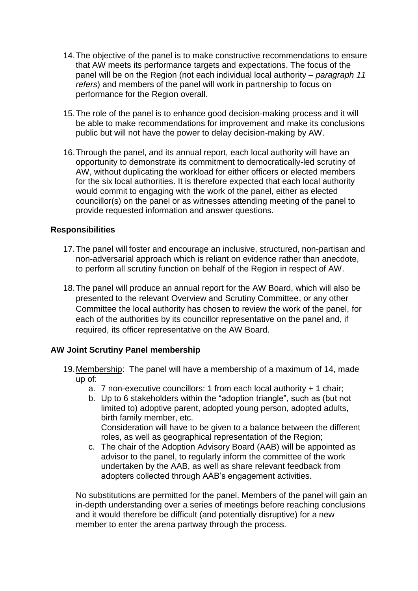- 14.The objective of the panel is to make constructive recommendations to ensure that AW meets its performance targets and expectations. The focus of the panel will be on the Region (not each individual local authority – *paragraph 11 refers*) and members of the panel will work in partnership to focus on performance for the Region overall.
- 15.The role of the panel is to enhance good decision-making process and it will be able to make recommendations for improvement and make its conclusions public but will not have the power to delay decision-making by AW.
- 16.Through the panel, and its annual report, each local authority will have an opportunity to demonstrate its commitment to democratically-led scrutiny of AW, without duplicating the workload for either officers or elected members for the six local authorities. It is therefore expected that each local authority would commit to engaging with the work of the panel, either as elected councillor(s) on the panel or as witnesses attending meeting of the panel to provide requested information and answer questions.

## **Responsibilities**

- 17.The panel will foster and encourage an inclusive, structured, non-partisan and non-adversarial approach which is reliant on evidence rather than anecdote, to perform all scrutiny function on behalf of the Region in respect of AW.
- 18.The panel will produce an annual report for the AW Board, which will also be presented to the relevant Overview and Scrutiny Committee, or any other Committee the local authority has chosen to review the work of the panel, for each of the authorities by its councillor representative on the panel and, if required, its officer representative on the AW Board.

## **AW Joint Scrutiny Panel membership**

- 19.Membership: The panel will have a membership of a maximum of 14, made up of:
	- a. 7 non-executive councillors: 1 from each local authority + 1 chair;
	- b. Up to 6 stakeholders within the "adoption triangle", such as (but not limited to) adoptive parent, adopted young person, adopted adults, birth family member, etc. Consideration will have to be given to a balance between the different
	- roles, as well as geographical representation of the Region; c. The chair of the Adoption Advisory Board (AAB) will be appointed as advisor to the panel, to regularly inform the committee of the work undertaken by the AAB, as well as share relevant feedback from adopters collected through AAB's engagement activities.

No substitutions are permitted for the panel. Members of the panel will gain an in-depth understanding over a series of meetings before reaching conclusions and it would therefore be difficult (and potentially disruptive) for a new member to enter the arena partway through the process.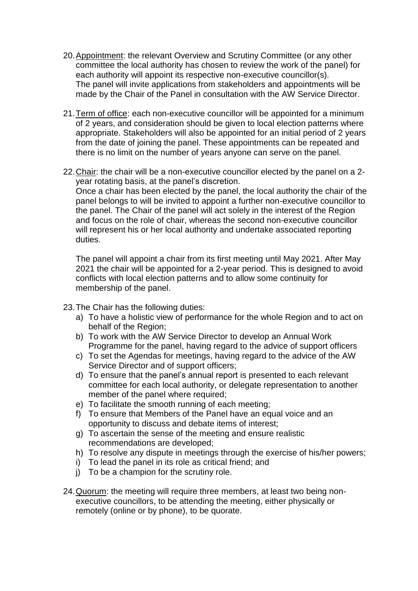- 20.Appointment: the relevant Overview and Scrutiny Committee (or any other committee the local authority has chosen to review the work of the panel) for each authority will appoint its respective non-executive councillor(s). The panel will invite applications from stakeholders and appointments will be made by the Chair of the Panel in consultation with the AW Service Director.
- 21.Term of office: each non-executive councillor will be appointed for a minimum of 2 years, and consideration should be given to local election patterns where appropriate. Stakeholders will also be appointed for an initial period of 2 years from the date of joining the panel. These appointments can be repeated and there is no limit on the number of years anyone can serve on the panel.
- 22.Chair: the chair will be a non-executive councillor elected by the panel on a 2 year rotating basis, at the panel's discretion. Once a chair has been elected by the panel, the local authority the chair of the panel belongs to will be invited to appoint a further non-executive councillor to the panel. The Chair of the panel will act solely in the interest of the Region and focus on the role of chair, whereas the second non-executive councillor will represent his or her local authority and undertake associated reporting duties.

The panel will appoint a chair from its first meeting until May 2021. After May 2021 the chair will be appointed for a 2-year period. This is designed to avoid conflicts with local election patterns and to allow some continuity for membership of the panel.

23.The Chair has the following duties:

- a) To have a holistic view of performance for the whole Region and to act on behalf of the Region;
- b) To work with the AW Service Director to develop an Annual Work Programme for the panel, having regard to the advice of support officers
- c) To set the Agendas for meetings, having regard to the advice of the AW Service Director and of support officers;
- d) To ensure that the panel's annual report is presented to each relevant committee for each local authority, or delegate representation to another member of the panel where required;
- e) To facilitate the smooth running of each meeting;
- f) To ensure that Members of the Panel have an equal voice and an opportunity to discuss and debate items of interest;
- g) To ascertain the sense of the meeting and ensure realistic recommendations are developed;
- h) To resolve any dispute in meetings through the exercise of his/her powers;
- i) To lead the panel in its role as critical friend; and
- j) To be a champion for the scrutiny role.
- 24.Quorum: the meeting will require three members, at least two being nonexecutive councillors, to be attending the meeting, either physically or remotely (online or by phone), to be quorate.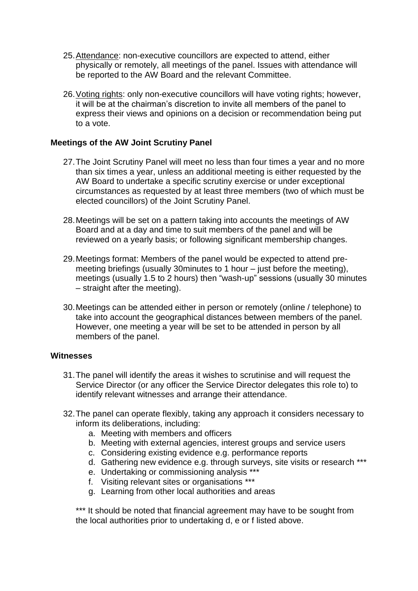- 25.Attendance: non-executive councillors are expected to attend, either physically or remotely, all meetings of the panel. Issues with attendance will be reported to the AW Board and the relevant Committee.
- 26.Voting rights: only non-executive councillors will have voting rights; however, it will be at the chairman's discretion to invite all members of the panel to express their views and opinions on a decision or recommendation being put to a vote.

## **Meetings of the AW Joint Scrutiny Panel**

- 27.The Joint Scrutiny Panel will meet no less than four times a year and no more than six times a year, unless an additional meeting is either requested by the AW Board to undertake a specific scrutiny exercise or under exceptional circumstances as requested by at least three members (two of which must be elected councillors) of the Joint Scrutiny Panel.
- 28.Meetings will be set on a pattern taking into accounts the meetings of AW Board and at a day and time to suit members of the panel and will be reviewed on a yearly basis; or following significant membership changes.
- 29.Meetings format: Members of the panel would be expected to attend premeeting briefings (usually 30minutes to 1 hour – just before the meeting), meetings (usually 1.5 to 2 hours) then "wash-up" sessions (usually 30 minutes – straight after the meeting).
- 30.Meetings can be attended either in person or remotely (online / telephone) to take into account the geographical distances between members of the panel. However, one meeting a year will be set to be attended in person by all members of the panel.

#### **Witnesses**

- 31.The panel will identify the areas it wishes to scrutinise and will request the Service Director (or any officer the Service Director delegates this role to) to identify relevant witnesses and arrange their attendance.
- 32.The panel can operate flexibly, taking any approach it considers necessary to inform its deliberations, including:
	- a. Meeting with members and officers
	- b. Meeting with external agencies, interest groups and service users
	- c. Considering existing evidence e.g. performance reports
	- d. Gathering new evidence e.g. through surveys, site visits or research \*\*\*
	- e. Undertaking or commissioning analysis \*\*\*
	- f. Visiting relevant sites or organisations \*\*\*
	- g. Learning from other local authorities and areas

\*\*\* It should be noted that financial agreement may have to be sought from the local authorities prior to undertaking d, e or f listed above.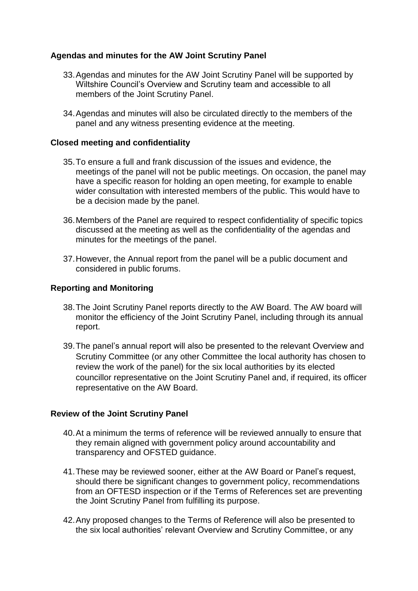# **Agendas and minutes for the AW Joint Scrutiny Panel**

- 33.Agendas and minutes for the AW Joint Scrutiny Panel will be supported by Wiltshire Council's Overview and Scrutiny team and accessible to all members of the Joint Scrutiny Panel.
- 34.Agendas and minutes will also be circulated directly to the members of the panel and any witness presenting evidence at the meeting.

#### **Closed meeting and confidentiality**

- 35.To ensure a full and frank discussion of the issues and evidence, the meetings of the panel will not be public meetings. On occasion, the panel may have a specific reason for holding an open meeting, for example to enable wider consultation with interested members of the public. This would have to be a decision made by the panel.
- 36.Members of the Panel are required to respect confidentiality of specific topics discussed at the meeting as well as the confidentiality of the agendas and minutes for the meetings of the panel.
- 37.However, the Annual report from the panel will be a public document and considered in public forums.

#### **Reporting and Monitoring**

- 38.The Joint Scrutiny Panel reports directly to the AW Board. The AW board will monitor the efficiency of the Joint Scrutiny Panel, including through its annual report.
- 39.The panel's annual report will also be presented to the relevant Overview and Scrutiny Committee (or any other Committee the local authority has chosen to review the work of the panel) for the six local authorities by its elected councillor representative on the Joint Scrutiny Panel and, if required, its officer representative on the AW Board.

#### **Review of the Joint Scrutiny Panel**

- 40.At a minimum the terms of reference will be reviewed annually to ensure that they remain aligned with government policy around accountability and transparency and OFSTED guidance.
- 41.These may be reviewed sooner, either at the AW Board or Panel's request, should there be significant changes to government policy, recommendations from an OFTESD inspection or if the Terms of References set are preventing the Joint Scrutiny Panel from fulfilling its purpose.
- 42.Any proposed changes to the Terms of Reference will also be presented to the six local authorities' relevant Overview and Scrutiny Committee, or any